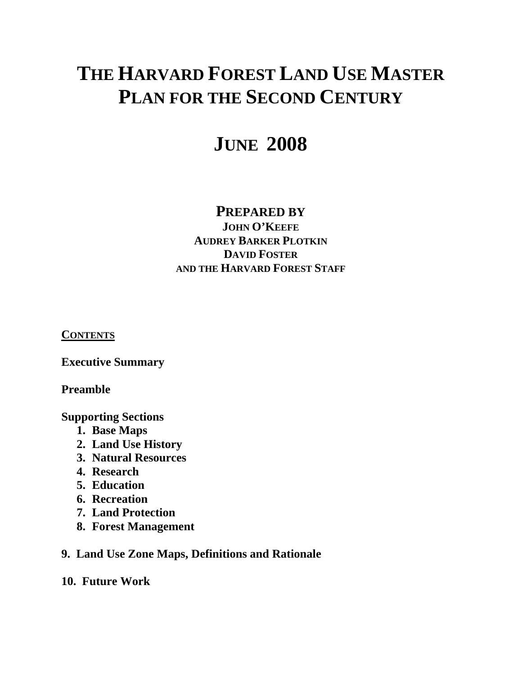# **THE HARVARD FOREST LAND USE MASTER PLAN FOR THE SECOND CENTURY**

# **JUNE 2008**

# **PREPARED BY**

**JOHN O'KEEFE AUDREY BARKER PLOTKIN DAVID FOSTER AND THE HARVARD FOREST STAFF**

**CONTENTS**

**Executive Summary** 

**Preamble** 

**Supporting Sections** 

- **1. Base Maps**
- **2. Land Use History**
- **3. Natural Resources**
- **4. Research**
- **5. Education**
- **6. Recreation**
- **7. Land Protection**
- **8. Forest Management**

# **9. Land Use Zone Maps, Definitions and Rationale**

## **10. Future Work**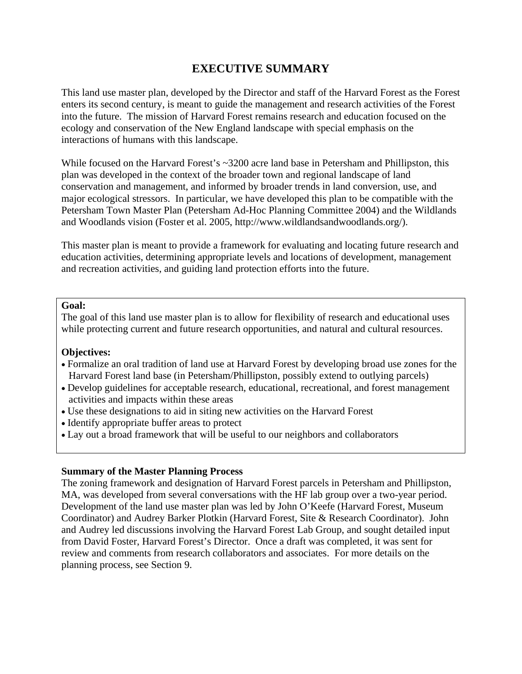# **EXECUTIVE SUMMARY**

This land use master plan, developed by the Director and staff of the Harvard Forest as the Forest enters its second century, is meant to guide the management and research activities of the Forest into the future. The mission of Harvard Forest remains research and education focused on the ecology and conservation of the New England landscape with special emphasis on the interactions of humans with this landscape.

While focused on the Harvard Forest's ~3200 acre land base in Petersham and Phillipston, this plan was developed in the context of the broader town and regional landscape of land conservation and management, and informed by broader trends in land conversion, use, and major ecological stressors. In particular, we have developed this plan to be compatible with the Petersham Town Master Plan (Petersham Ad-Hoc Planning Committee 2004) and the Wildlands and Woodlands vision (Foster et al. 2005, http://www.wildlandsandwoodlands.org/).

This master plan is meant to provide a framework for evaluating and locating future research and education activities, determining appropriate levels and locations of development, management and recreation activities, and guiding land protection efforts into the future.

#### **Goal:**

The goal of this land use master plan is to allow for flexibility of research and educational uses while protecting current and future research opportunities, and natural and cultural resources.

#### **Objectives:**

- Formalize an oral tradition of land use at Harvard Forest by developing broad use zones for the Harvard Forest land base (in Petersham/Phillipston, possibly extend to outlying parcels)
- Develop guidelines for acceptable research, educational, recreational, and forest management activities and impacts within these areas
- Use these designations to aid in siting new activities on the Harvard Forest
- Identify appropriate buffer areas to protect
- Lay out a broad framework that will be useful to our neighbors and collaborators

#### **Summary of the Master Planning Process**

The zoning framework and designation of Harvard Forest parcels in Petersham and Phillipston, MA, was developed from several conversations with the HF lab group over a two-year period. Development of the land use master plan was led by John O'Keefe (Harvard Forest, Museum Coordinator) and Audrey Barker Plotkin (Harvard Forest, Site & Research Coordinator). John and Audrey led discussions involving the Harvard Forest Lab Group, and sought detailed input from David Foster, Harvard Forest's Director. Once a draft was completed, it was sent for review and comments from research collaborators and associates. For more details on the planning process, see Section 9.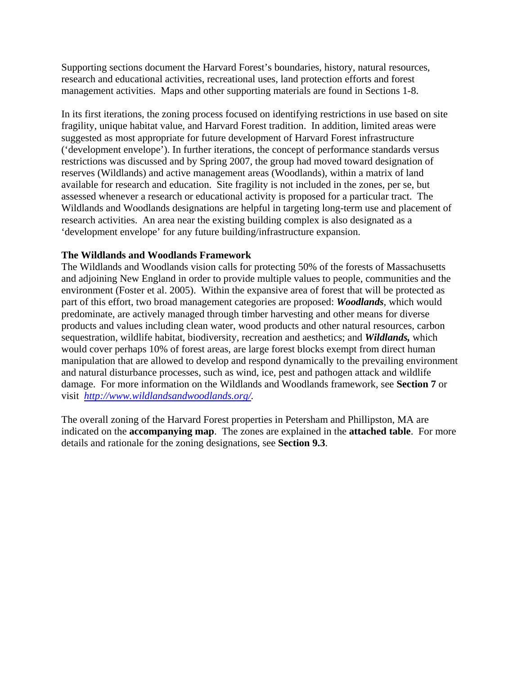Supporting sections document the Harvard Forest's boundaries, history, natural resources, research and educational activities, recreational uses, land protection efforts and forest management activities. Maps and other supporting materials are found in Sections 1-8.

In its first iterations, the zoning process focused on identifying restrictions in use based on site fragility, unique habitat value, and Harvard Forest tradition. In addition, limited areas were suggested as most appropriate for future development of Harvard Forest infrastructure ('development envelope'). In further iterations, the concept of performance standards versus restrictions was discussed and by Spring 2007, the group had moved toward designation of reserves (Wildlands) and active management areas (Woodlands), within a matrix of land available for research and education. Site fragility is not included in the zones, per se, but assessed whenever a research or educational activity is proposed for a particular tract. The Wildlands and Woodlands designations are helpful in targeting long-term use and placement of research activities. An area near the existing building complex is also designated as a 'development envelope' for any future building/infrastructure expansion.

## **The Wildlands and Woodlands Framework**

The Wildlands and Woodlands vision calls for protecting 50% of the forests of Massachusetts and adjoining New England in order to provide multiple values to people, communities and the environment (Foster et al. 2005). Within the expansive area of forest that will be protected as part of this effort, two broad management categories are proposed: *Woodlands*, which would predominate, are actively managed through timber harvesting and other means for diverse products and values including clean water, wood products and other natural resources, carbon sequestration, wildlife habitat, biodiversity, recreation and aesthetics; and *Wildlands,* which would cover perhaps 10% of forest areas, are large forest blocks exempt from direct human manipulation that are allowed to develop and respond dynamically to the prevailing environment and natural disturbance processes, such as wind, ice, pest and pathogen attack and wildlife damage. For more information on the Wildlands and Woodlands framework, see **Section 7** or visit *[http://www.wildlandsandwoodlands.org/.](http://www.wildlandsandwoodlands.org/)* 

The overall zoning of the Harvard Forest properties in Petersham and Phillipston, MA are indicated on the **accompanying map**. The zones are explained in the **attached table**. For more details and rationale for the zoning designations, see **Section 9.3**.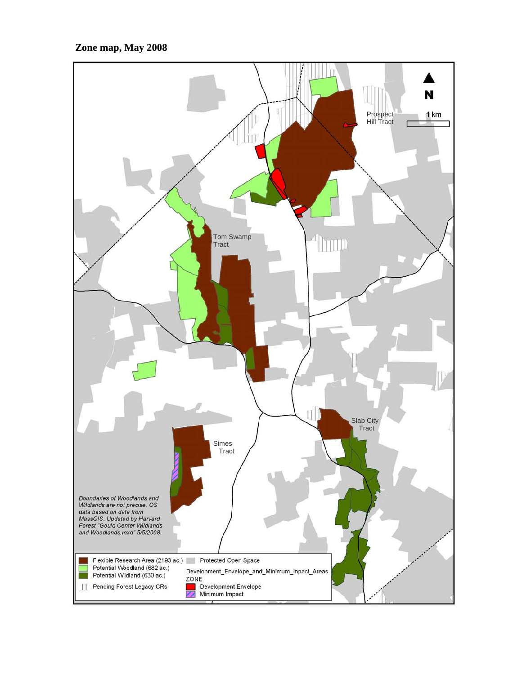## **Zone map, May 2008**

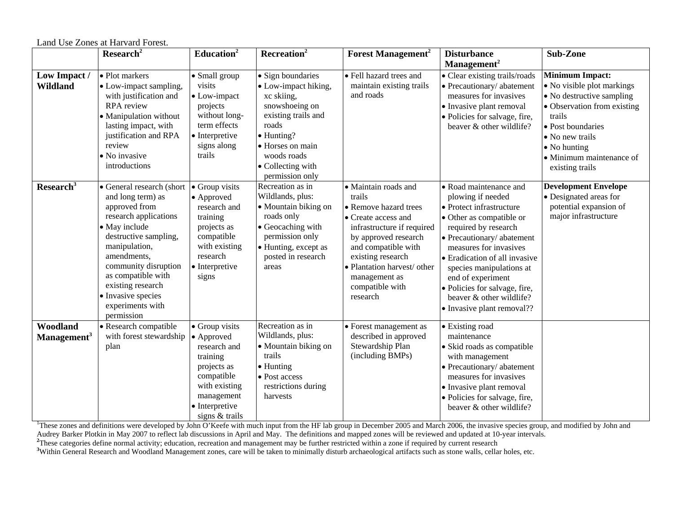|                                     | Research <sup>2</sup>                                                                                                                                                                                                                                                                         | Education <sup>2</sup>                                                                                                                                   | Recreation <sup>2</sup>                                                                                                                                                                            | <b>Forest Management<sup>2</sup></b>                                                                                                                                                                                                                            | <b>Disturbance</b>                                                                                                                                                                                                                                                                                                                                              | Sub-Zone                                                                                                                                                                                                                                  |
|-------------------------------------|-----------------------------------------------------------------------------------------------------------------------------------------------------------------------------------------------------------------------------------------------------------------------------------------------|----------------------------------------------------------------------------------------------------------------------------------------------------------|----------------------------------------------------------------------------------------------------------------------------------------------------------------------------------------------------|-----------------------------------------------------------------------------------------------------------------------------------------------------------------------------------------------------------------------------------------------------------------|-----------------------------------------------------------------------------------------------------------------------------------------------------------------------------------------------------------------------------------------------------------------------------------------------------------------------------------------------------------------|-------------------------------------------------------------------------------------------------------------------------------------------------------------------------------------------------------------------------------------------|
|                                     |                                                                                                                                                                                                                                                                                               |                                                                                                                                                          |                                                                                                                                                                                                    |                                                                                                                                                                                                                                                                 | Management <sup>2</sup>                                                                                                                                                                                                                                                                                                                                         |                                                                                                                                                                                                                                           |
| Low Impact /<br><b>Wildland</b>     | • Plot markers<br>• Low-impact sampling,<br>with justification and<br>RPA review<br>• Manipulation without<br>lasting impact, with<br>justification and RPA<br>review<br>• No invasive<br>introductions                                                                                       | • Small group<br>visits<br>$\bullet$ Low-impact<br>projects<br>without long-<br>term effects<br>• Interpretive<br>signs along<br>trails                  | • Sign boundaries<br>· Low-impact hiking,<br>xc skiing,<br>snowshoeing on<br>existing trails and<br>roads<br>· Hunting?<br>• Horses on main<br>woods roads<br>• Collecting with<br>permission only | · Fell hazard trees and<br>maintain existing trails<br>and roads                                                                                                                                                                                                | • Clear existing trails/roads<br>• Precautionary/abatement<br>measures for invasives<br>• Invasive plant removal<br>• Policies for salvage, fire,<br>beaver & other wildlife?                                                                                                                                                                                   | <b>Minimum Impact:</b><br>• No visible plot markings<br>• No destructive sampling<br>• Observation from existing<br>trails<br>• Post boundaries<br>• No new trails<br>$\bullet$ No hunting<br>• Minimum maintenance of<br>existing trails |
| Research <sup>3</sup>               | • General research (short<br>and long term) as<br>approved from<br>research applications<br>• May include<br>destructive sampling,<br>manipulation,<br>amendments.<br>community disruption<br>as compatible with<br>existing research<br>• Invasive species<br>experiments with<br>permission | • Group visits<br>• Approved<br>research and<br>training<br>projects as<br>compatible<br>with existing<br>research<br>$\bullet$ Interpretive<br>signs    | Recreation as in<br>Wildlands, plus:<br>· Mountain biking on<br>roads only<br>• Geocaching with<br>permission only<br>• Hunting, except as<br>posted in research<br>areas                          | · Maintain roads and<br>trails<br>• Remove hazard trees<br>• Create access and<br>infrastructure if required<br>by approved research<br>and compatible with<br>existing research<br>· Plantation harvest/ other<br>management as<br>compatible with<br>research | • Road maintenance and<br>plowing if needed<br>• Protect infrastructure<br>• Other as compatible or<br>required by research<br>• Precautionary/abatement<br>measures for invasives<br>• Eradication of all invasive<br>species manipulations at<br>end of experiment<br>· Policies for salvage, fire,<br>beaver & other wildlife?<br>• Invasive plant removal?? | <b>Development Envelope</b><br>• Designated areas for<br>potential expansion of<br>major infrastructure                                                                                                                                   |
| Woodland<br>Management <sup>3</sup> | • Research compatible<br>with forest stewardship<br>plan                                                                                                                                                                                                                                      | • Group visits<br>• Approved<br>research and<br>training<br>projects as<br>compatible<br>with existing<br>management<br>• Interpretive<br>signs & trails | Recreation as in<br>Wildlands, plus:<br>• Mountain biking on<br>trails<br>$\bullet$ Hunting<br>• Post access<br>restrictions during<br>harvests                                                    | • Forest management as<br>described in approved<br>Stewardship Plan<br>(including BMPs)                                                                                                                                                                         | • Existing road<br>maintenance<br>· Skid roads as compatible<br>with management<br>• Precautionary/ abatement<br>measures for invasives<br>• Invasive plant removal<br>· Policies for salvage, fire,<br>beaver & other wildlife?                                                                                                                                |                                                                                                                                                                                                                                           |

Land Use Zones at Harvard Forest.

<sup>1</sup>These zones and definitions were developed by John O'Keefe with much input from the HF lab group in December 2005 and March 2006, the invasive species group, and modified by John and Audrey Barker Plotkin in May 2007 to reflect lab discussions in April and May. The definitions and mapped zones will be reviewed and updated at 10-year intervals.

<sup>2</sup>These categories define normal activity; education, recreation and management may be further restricted within a zone if required by current research

<sup>3</sup>Within General Research and Woodland Management zones, care will be taken to minimally disturb archaeological artifacts such as stone walls, cellar holes, etc.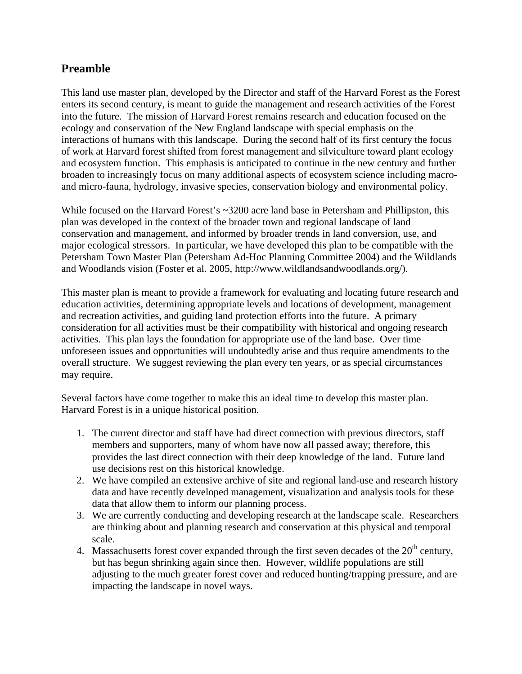# **Preamble**

This land use master plan, developed by the Director and staff of the Harvard Forest as the Forest enters its second century, is meant to guide the management and research activities of the Forest into the future. The mission of Harvard Forest remains research and education focused on the ecology and conservation of the New England landscape with special emphasis on the interactions of humans with this landscape. During the second half of its first century the focus of work at Harvard forest shifted from forest management and silviculture toward plant ecology and ecosystem function. This emphasis is anticipated to continue in the new century and further broaden to increasingly focus on many additional aspects of ecosystem science including macroand micro-fauna, hydrology, invasive species, conservation biology and environmental policy.

While focused on the Harvard Forest's ~3200 acre land base in Petersham and Phillipston, this plan was developed in the context of the broader town and regional landscape of land conservation and management, and informed by broader trends in land conversion, use, and major ecological stressors. In particular, we have developed this plan to be compatible with the Petersham Town Master Plan (Petersham Ad-Hoc Planning Committee 2004) and the Wildlands and Woodlands vision (Foster et al. 2005, http://www.wildlandsandwoodlands.org/).

This master plan is meant to provide a framework for evaluating and locating future research and education activities, determining appropriate levels and locations of development, management and recreation activities, and guiding land protection efforts into the future. A primary consideration for all activities must be their compatibility with historical and ongoing research activities. This plan lays the foundation for appropriate use of the land base. Over time unforeseen issues and opportunities will undoubtedly arise and thus require amendments to the overall structure. We suggest reviewing the plan every ten years, or as special circumstances may require.

Several factors have come together to make this an ideal time to develop this master plan. Harvard Forest is in a unique historical position.

- 1. The current director and staff have had direct connection with previous directors, staff members and supporters, many of whom have now all passed away; therefore, this provides the last direct connection with their deep knowledge of the land. Future land use decisions rest on this historical knowledge.
- 2. We have compiled an extensive archive of site and regional land-use and research history data and have recently developed management, visualization and analysis tools for these data that allow them to inform our planning process.
- 3. We are currently conducting and developing research at the landscape scale. Researchers are thinking about and planning research and conservation at this physical and temporal scale.
- 4. Massachusetts forest cover expanded through the first seven decades of the  $20<sup>th</sup>$  century, but has begun shrinking again since then. However, wildlife populations are still adjusting to the much greater forest cover and reduced hunting/trapping pressure, and are impacting the landscape in novel ways.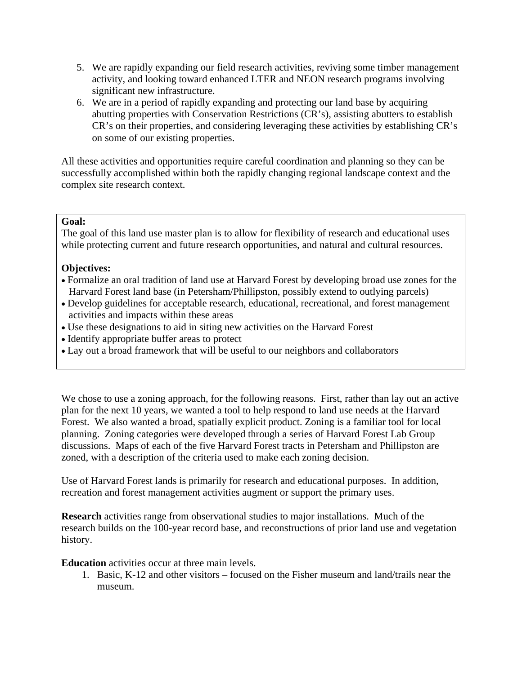- 5. We are rapidly expanding our field research activities, reviving some timber management activity, and looking toward enhanced LTER and NEON research programs involving significant new infrastructure.
- 6. We are in a period of rapidly expanding and protecting our land base by acquiring abutting properties with Conservation Restrictions (CR's), assisting abutters to establish CR's on their properties, and considering leveraging these activities by establishing CR's on some of our existing properties.

All these activities and opportunities require careful coordination and planning so they can be successfully accomplished within both the rapidly changing regional landscape context and the complex site research context.

## **Goal:**

The goal of this land use master plan is to allow for flexibility of research and educational uses while protecting current and future research opportunities, and natural and cultural resources.

### **Objectives:**

- Formalize an oral tradition of land use at Harvard Forest by developing broad use zones for the Harvard Forest land base (in Petersham/Phillipston, possibly extend to outlying parcels)
- Develop guidelines for acceptable research, educational, recreational, and forest management activities and impacts within these areas
- Use these designations to aid in siting new activities on the Harvard Forest
- Identify appropriate buffer areas to protect
- Lay out a broad framework that will be useful to our neighbors and collaborators

We chose to use a zoning approach, for the following reasons. First, rather than lay out an active plan for the next 10 years, we wanted a tool to help respond to land use needs at the Harvard Forest. We also wanted a broad, spatially explicit product. Zoning is a familiar tool for local planning. Zoning categories were developed through a series of Harvard Forest Lab Group discussions. Maps of each of the five Harvard Forest tracts in Petersham and Phillipston are zoned, with a description of the criteria used to make each zoning decision.

Use of Harvard Forest lands is primarily for research and educational purposes. In addition, recreation and forest management activities augment or support the primary uses.

**Research** activities range from observational studies to major installations. Much of the research builds on the 100-year record base, and reconstructions of prior land use and vegetation history.

**Education** activities occur at three main levels.

1. Basic, K-12 and other visitors – focused on the Fisher museum and land/trails near the museum.